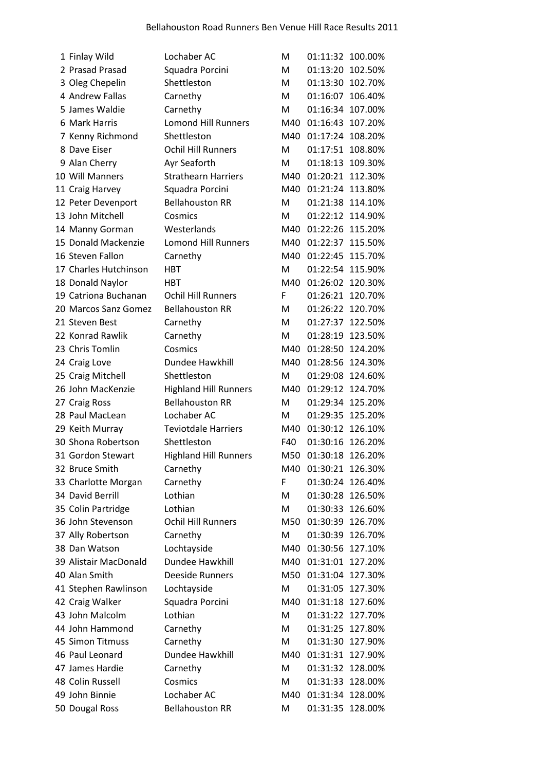| 1 Finlay Wild         | Lochaber AC                  | м   | 01:11:32 100.00% |         |
|-----------------------|------------------------------|-----|------------------|---------|
| 2 Prasad Prasad       | Squadra Porcini              | M   | 01:13:20         | 102.50% |
| 3 Oleg Chepelin       | Shettleston                  | M   | 01:13:30         | 102.70% |
| 4 Andrew Fallas       | Carnethy                     | M   | 01:16:07         | 106.40% |
| 5 James Waldie        | Carnethy                     | M   | 01:16:34 107.00% |         |
| 6 Mark Harris         | <b>Lomond Hill Runners</b>   | M40 | 01:16:43         | 107.20% |
| 7 Kenny Richmond      | Shettleston                  | M40 | 01:17:24 108.20% |         |
| 8 Dave Eiser          | <b>Ochil Hill Runners</b>    | M   | 01:17:51         | 108.80% |
| 9 Alan Cherry         | Ayr Seaforth                 | M   | 01:18:13         | 109.30% |
| 10 Will Manners       | <b>Strathearn Harriers</b>   | M40 | 01:20:21 112.30% |         |
| 11 Craig Harvey       | Squadra Porcini              | M40 | 01:21:24 113.80% |         |
| 12 Peter Devenport    | <b>Bellahouston RR</b>       | M   | 01:21:38         | 114.10% |
| 13 John Mitchell      | Cosmics                      | M   | 01:22:12         | 114.90% |
| 14 Manny Gorman       | Westerlands                  | M40 | 01:22:26         | 115.20% |
| 15 Donald Mackenzie   | <b>Lomond Hill Runners</b>   | M40 | 01:22:37         | 115.50% |
| 16 Steven Fallon      | Carnethy                     | M40 | 01:22:45         | 115.70% |
| 17 Charles Hutchinson | <b>HBT</b>                   | M   | 01:22:54 115.90% |         |
| 18 Donald Naylor      | <b>HRT</b>                   | M40 | 01:26:02         | 120.30% |
| 19 Catriona Buchanan  | <b>Ochil Hill Runners</b>    | F   | 01:26:21 120.70% |         |
| 20 Marcos Sanz Gomez  | <b>Bellahouston RR</b>       | M   | 01:26:22 120.70% |         |
| 21 Steven Best        | Carnethy                     | M   | 01:27:37 122.50% |         |
| 22 Konrad Rawlik      | Carnethy                     | M   | 01:28:19         | 123.50% |
| 23 Chris Tomlin       | Cosmics                      | M40 | 01:28:50         | 124.20% |
| 24 Craig Love         | Dundee Hawkhill              | M40 | 01:28:56         | 124.30% |
| 25 Craig Mitchell     | Shettleston                  | M   | 01:29:08         | 124.60% |
| 26 John MacKenzie     | <b>Highland Hill Runners</b> | M40 | 01:29:12 124.70% |         |
| 27 Craig Ross         | <b>Bellahouston RR</b>       | M   | 01:29:34         | 125.20% |
| 28 Paul MacLean       | Lochaber AC                  | M   | 01:29:35         | 125.20% |
| 29 Keith Murray       | <b>Teviotdale Harriers</b>   | M40 | 01:30:12         | 126.10% |
| 30 Shona Robertson    | Shettleston                  | F40 | 01:30:16         | 126.20% |
| 31 Gordon Stewart     | <b>Highland Hill Runners</b> | M50 | 01:30:18         | 126.20% |
| 32 Bruce Smith        | Carnethy                     | M40 | 01:30:21 126.30% |         |
| 33 Charlotte Morgan   | Carnethy                     | F   | 01:30:24 126.40% |         |
| 34 David Berrill      | Lothian                      | M   | 01:30:28         | 126.50% |
| 35 Colin Partridge    | Lothian                      | M   | 01:30:33 126.60% |         |
| 36 John Stevenson     | <b>Ochil Hill Runners</b>    | M50 | 01:30:39         | 126.70% |
| 37 Ally Robertson     | Carnethy                     | M   | 01:30:39         | 126.70% |
| 38 Dan Watson         | Lochtayside                  | M40 | 01:30:56         | 127.10% |
| 39 Alistair MacDonald | Dundee Hawkhill              | M40 | 01:31:01         | 127.20% |
| 40 Alan Smith         | Deeside Runners              | M50 | 01:31:04 127.30% |         |
| 41 Stephen Rawlinson  | Lochtayside                  | M   | 01:31:05         | 127.30% |
| 42 Craig Walker       | Squadra Porcini              | M40 | 01:31:18         | 127.60% |
| 43 John Malcolm       | Lothian                      | M   | 01:31:22         | 127.70% |
| 44 John Hammond       | Carnethy                     | M   | 01:31:25         | 127.80% |
| 45 Simon Titmuss      | Carnethy                     | M   | 01:31:30         | 127.90% |
| 46 Paul Leonard       | Dundee Hawkhill              | M40 | 01:31:31         | 127.90% |
| 47 James Hardie       | Carnethy                     | M   | 01:31:32         | 128.00% |
| 48 Colin Russell      | Cosmics                      | M   | 01:31:33         | 128.00% |
| 49 John Binnie        | Lochaber AC                  | M40 | 01:31:34 128.00% |         |
| 50 Dougal Ross        | <b>Bellahouston RR</b>       | Μ   | 01:31:35 128.00% |         |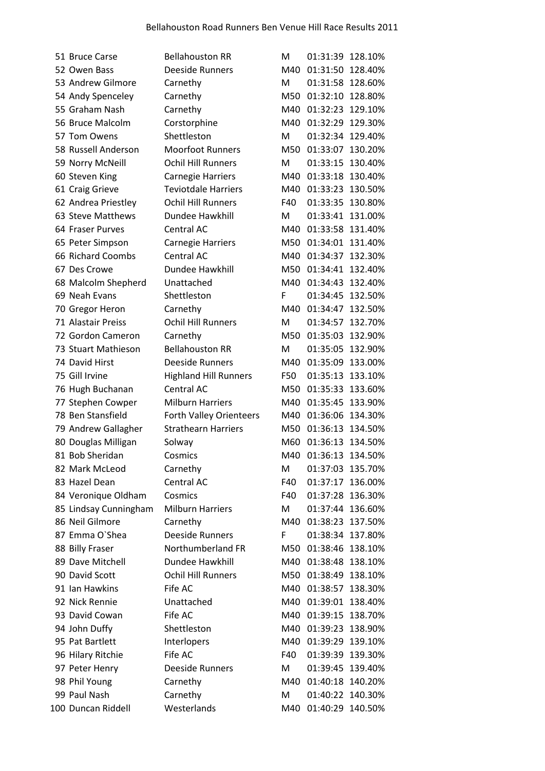| 51 Bruce Carse        | <b>Bellahouston RR</b>         | м   | 01:31:39         | 128.10% |
|-----------------------|--------------------------------|-----|------------------|---------|
| 52 Owen Bass          | <b>Deeside Runners</b>         | M40 | 01:31:50         | 128.40% |
| 53 Andrew Gilmore     | Carnethy                       | M   | 01:31:58         | 128.60% |
| 54 Andy Spenceley     | Carnethy                       | M50 | 01:32:10         | 128.80% |
| 55 Graham Nash        | Carnethy                       | M40 | 01:32:23 129.10% |         |
| 56 Bruce Malcolm      | Corstorphine                   | M40 | 01:32:29         | 129.30% |
| 57 Tom Owens          | Shettleston                    | M   | 01:32:34         | 129.40% |
| 58 Russell Anderson   | <b>Moorfoot Runners</b>        | M50 | 01:33:07         | 130.20% |
| 59 Norry McNeill      | <b>Ochil Hill Runners</b>      | M   | 01:33:15         | 130.40% |
| 60 Steven King        | <b>Carnegie Harriers</b>       | M40 | 01:33:18 130.40% |         |
| 61 Craig Grieve       | <b>Teviotdale Harriers</b>     | M40 | 01:33:23         | 130.50% |
| 62 Andrea Priestley   | <b>Ochil Hill Runners</b>      | F40 | 01:33:35         | 130.80% |
| 63 Steve Matthews     | Dundee Hawkhill                | M   | 01:33:41         | 131.00% |
| 64 Fraser Purves      | Central AC                     | M40 | 01:33:58         | 131.40% |
| 65 Peter Simpson      | <b>Carnegie Harriers</b>       | M50 | 01:34:01 131.40% |         |
| 66 Richard Coombs     | Central AC                     | M40 | 01:34:37         | 132.30% |
| 67 Des Crowe          | Dundee Hawkhill                | M50 | 01:34:41         | 132.40% |
| 68 Malcolm Shepherd   | Unattached                     | M40 | 01:34:43         | 132.40% |
| 69 Neah Evans         | Shettleston                    | F   | 01:34:45         | 132.50% |
| 70 Gregor Heron       | Carnethy                       | M40 | 01:34:47         | 132.50% |
| 71 Alastair Preiss    | <b>Ochil Hill Runners</b>      | M   | 01:34:57         | 132.70% |
| 72 Gordon Cameron     | Carnethy                       | M50 | 01:35:03         | 132.90% |
| 73 Stuart Mathieson   | <b>Bellahouston RR</b>         | M   | 01:35:05         | 132.90% |
| 74 David Hirst        | Deeside Runners                | M40 | 01:35:09         | 133.00% |
| 75 Gill Irvine        | <b>Highland Hill Runners</b>   | F50 | 01:35:13         | 133.10% |
| 76 Hugh Buchanan      | Central AC                     | M50 | 01:35:33         | 133.60% |
| 77 Stephen Cowper     | <b>Milburn Harriers</b>        | M40 | 01:35:45         | 133.90% |
| 78 Ben Stansfield     | <b>Forth Valley Orienteers</b> | M40 | 01:36:06         | 134.30% |
| 79 Andrew Gallagher   | <b>Strathearn Harriers</b>     | M50 | 01:36:13         | 134.50% |
| 80 Douglas Milligan   | Solway                         | M60 | 01:36:13         | 134.50% |
| 81 Bob Sheridan       | Cosmics                        | M40 | 01:36:13         | 134.50% |
| 82 Mark McLeod        | Carnethy                       | м   | 01:37:03         | 135.70% |
| 83 Hazel Dean         | Central AC                     | F40 | 01:37:17         | 136.00% |
| 84 Veronique Oldham   | Cosmics                        | F40 | 01:37:28         | 136.30% |
| 85 Lindsay Cunningham | <b>Milburn Harriers</b>        | M   | 01:37:44         | 136.60% |
| 86 Neil Gilmore       | Carnethy                       | M40 | 01:38:23 137.50% |         |
| 87 Emma O'Shea        | <b>Deeside Runners</b>         | F   | 01:38:34         | 137.80% |
| 88 Billy Fraser       | Northumberland FR              | M50 | 01:38:46         | 138.10% |
| 89 Dave Mitchell      | Dundee Hawkhill                | M40 | 01:38:48         | 138.10% |
| 90 David Scott        | <b>Ochil Hill Runners</b>      | M50 | 01:38:49         | 138.10% |
| 91 Ian Hawkins        | Fife AC                        | M40 | 01:38:57         | 138.30% |
| 92 Nick Rennie        | Unattached                     | M40 | 01:39:01         | 138.40% |
| 93 David Cowan        | Fife AC                        | M40 | 01:39:15         | 138.70% |
| 94 John Duffy         | Shettleston                    | M40 | 01:39:23         | 138.90% |
| 95 Pat Bartlett       | Interlopers                    | M40 | 01:39:29         | 139.10% |
| 96 Hilary Ritchie     | Fife AC                        | F40 | 01:39:39         | 139.30% |
| 97 Peter Henry        | Deeside Runners                | M   | 01:39:45         | 139.40% |
| 98 Phil Young         | Carnethy                       | M40 | 01:40:18         | 140.20% |
| 99 Paul Nash          | Carnethy                       | M   | 01:40:22         | 140.30% |
| 100 Duncan Riddell    | Westerlands                    | M40 | 01:40:29 140.50% |         |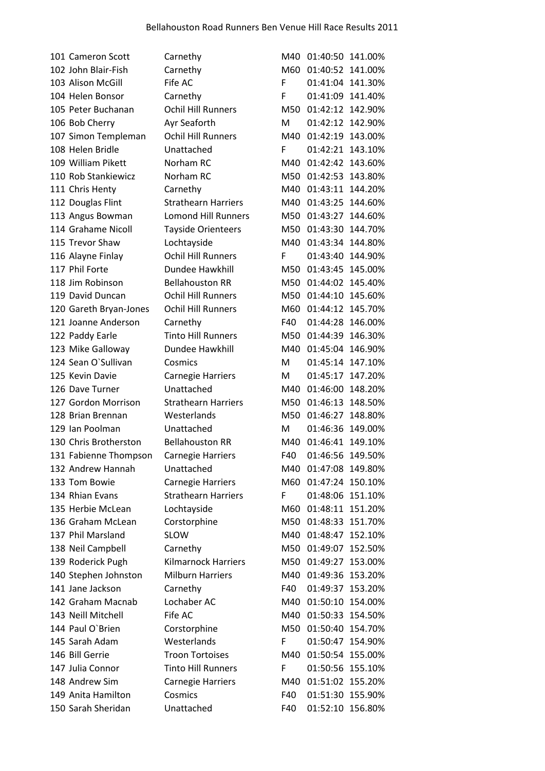| 101 Cameron Scott      | Carnethy                   | M40 | 01:40:50 141.00% |         |
|------------------------|----------------------------|-----|------------------|---------|
| 102 John Blair-Fish    | Carnethy                   | M60 | 01:40:52 141.00% |         |
| 103 Alison McGill      | Fife AC                    | F   | 01:41:04 141.30% |         |
| 104 Helen Bonsor       | Carnethy                   | F   | 01:41:09 141.40% |         |
| 105 Peter Buchanan     | <b>Ochil Hill Runners</b>  | M50 | 01:42:12 142.90% |         |
| 106 Bob Cherry         | Ayr Seaforth               | M   | 01:42:12 142.90% |         |
| 107 Simon Templeman    | <b>Ochil Hill Runners</b>  | M40 | 01:42:19 143.00% |         |
| 108 Helen Bridle       | Unattached                 | F   | 01:42:21 143.10% |         |
| 109 William Pikett     | Norham RC                  | M40 | 01:42:42 143.60% |         |
| 110 Rob Stankiewicz    | Norham RC                  | M50 | 01:42:53 143.80% |         |
| 111 Chris Henty        | Carnethy                   | M40 | 01:43:11 144.20% |         |
| 112 Douglas Flint      | <b>Strathearn Harriers</b> | M40 | 01:43:25         | 144.60% |
| 113 Angus Bowman       | <b>Lomond Hill Runners</b> | M50 | 01:43:27 144.60% |         |
| 114 Grahame Nicoll     | Tayside Orienteers         | M50 | 01:43:30         | 144.70% |
| 115 Trevor Shaw        | Lochtayside                | M40 | 01:43:34 144.80% |         |
| 116 Alayne Finlay      | <b>Ochil Hill Runners</b>  | F   | 01:43:40 144.90% |         |
| 117 Phil Forte         | Dundee Hawkhill            | M50 | 01:43:45 145.00% |         |
| 118 Jim Robinson       | <b>Bellahouston RR</b>     | M50 | 01:44:02 145.40% |         |
| 119 David Duncan       | <b>Ochil Hill Runners</b>  | M50 | 01:44:10         | 145.60% |
| 120 Gareth Bryan-Jones | <b>Ochil Hill Runners</b>  | M60 | 01:44:12 145.70% |         |
| 121 Joanne Anderson    | Carnethy                   | F40 | 01:44:28 146.00% |         |
| 122 Paddy Earle        | <b>Tinto Hill Runners</b>  | M50 | 01:44:39 146.30% |         |
| 123 Mike Galloway      | Dundee Hawkhill            | M40 | 01:45:04 146.90% |         |
| 124 Sean O'Sullivan    | Cosmics                    | м   | 01:45:14 147.10% |         |
| 125 Kevin Davie        | <b>Carnegie Harriers</b>   | м   | 01:45:17 147.20% |         |
| 126 Dave Turner        | Unattached                 | M40 | 01:46:00         | 148.20% |
| 127 Gordon Morrison    | <b>Strathearn Harriers</b> | M50 | 01:46:13 148.50% |         |
| 128 Brian Brennan      | Westerlands                | M50 | 01:46:27         | 148.80% |
| 129 Ian Poolman        | Unattached                 | M   | 01:46:36 149.00% |         |
| 130 Chris Brotherston  | <b>Bellahouston RR</b>     | M40 | 01:46:41 149.10% |         |
| 131 Fabienne Thompson  | Carnegie Harriers          | F40 | 01:46:56         | 149.50% |
| 132 Andrew Hannah      | Unattached                 | M40 | 01:47:08 149.80% |         |
| 133 Tom Bowie          | <b>Carnegie Harriers</b>   | M60 | 01:47:24 150.10% |         |
| 134 Rhian Evans        | <b>Strathearn Harriers</b> | F   | 01:48:06 151.10% |         |
| 135 Herbie McLean      | Lochtayside                | M60 | 01:48:11 151.20% |         |
| 136 Graham McLean      | Corstorphine               | M50 | 01:48:33         | 151.70% |
| 137 Phil Marsland      | <b>SLOW</b>                | M40 | 01:48:47 152.10% |         |
| 138 Neil Campbell      | Carnethy                   | M50 | 01:49:07         | 152.50% |
| 139 Roderick Pugh      | <b>Kilmarnock Harriers</b> | M50 | 01:49:27         | 153.00% |
| 140 Stephen Johnston   | <b>Milburn Harriers</b>    | M40 | 01:49:36         | 153.20% |
| 141 Jane Jackson       | Carnethy                   | F40 | 01:49:37         | 153.20% |
| 142 Graham Macnab      | Lochaber AC                | M40 | 01:50:10         | 154.00% |
| 143 Neill Mitchell     | Fife AC                    | M40 | 01:50:33         | 154.50% |
| 144 Paul O'Brien       | Corstorphine               | M50 | 01:50:40         | 154.70% |
| 145 Sarah Adam         | Westerlands                | F   | 01:50:47         | 154.90% |
| 146 Bill Gerrie        | <b>Troon Tortoises</b>     | M40 | 01:50:54 155.00% |         |
| 147 Julia Connor       | <b>Tinto Hill Runners</b>  | F   | 01:50:56 155.10% |         |
| 148 Andrew Sim         | Carnegie Harriers          | M40 | 01:51:02         | 155.20% |
| 149 Anita Hamilton     | Cosmics                    | F40 | 01:51:30         | 155.90% |
| 150 Sarah Sheridan     | Unattached                 | F40 | 01:52:10 156.80% |         |
|                        |                            |     |                  |         |